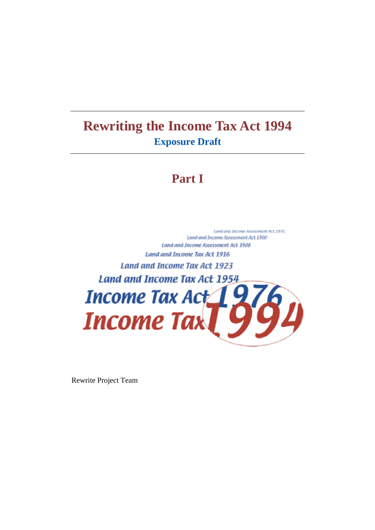# **Rewriting the Income Tax Act 1994 Exposure Draft**

# **Part I**

Land and Income Assessment Act 1891 Land and Income Assessment Act 1900 Land and Income Assessment Act 1908 Land and Income Tax Act 1916 Land and Income Tax Act 1923 Land and Income Tax Act 1954 Income Tax Act 19 **Income Tax** 

Rewrite Project Team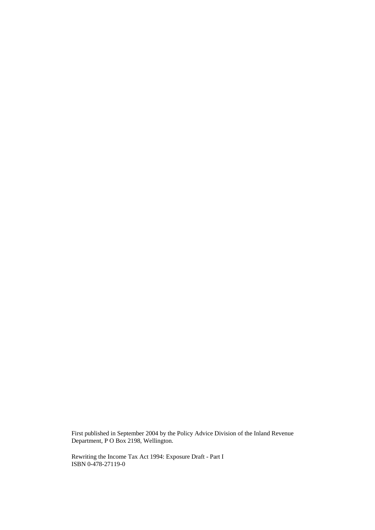First published in September 2004 by the Policy Advice Division of the Inland Revenue Department, P O Box 2198, Wellington.

Rewriting the Income Tax Act 1994: Exposure Draft - Part I ISBN 0-478-27119-0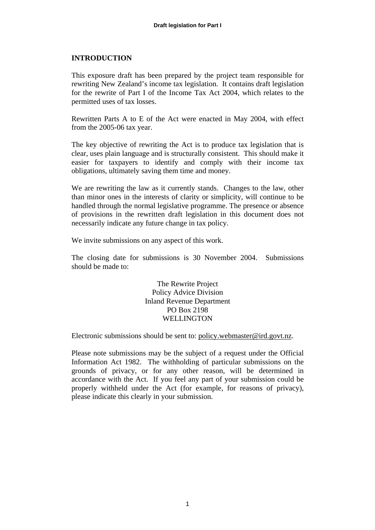# **INTRODUCTION**

This exposure draft has been prepared by the project team responsible for rewriting New Zealand's income tax legislation. It contains draft legislation for the rewrite of Part I of the Income Tax Act 2004, which relates to the permitted uses of tax losses.

Rewritten Parts A to E of the Act were enacted in May 2004, with effect from the 2005-06 tax year.

The key objective of rewriting the Act is to produce tax legislation that is clear, uses plain language and is structurally consistent. This should make it easier for taxpayers to identify and comply with their income tax obligations, ultimately saving them time and money.

We are rewriting the law as it currently stands. Changes to the law, other than minor ones in the interests of clarity or simplicity, will continue to be handled through the normal legislative programme. The presence or absence of provisions in the rewritten draft legislation in this document does not necessarily indicate any future change in tax policy.

We invite submissions on any aspect of this work.

The closing date for submissions is 30 November 2004. Submissions should be made to:

> The Rewrite Project Policy Advice Division Inland Revenue Department PO Box 2198 WELL **INGTON**

Electronic submissions should be sent to: policy.webmaster@ird.govt.nz.

Please note submissions may be the subject of a request under the Official Information Act 1982. The withholding of particular submissions on the grounds of privacy, or for any other reason, will be determined in accordance with the Act. If you feel any part of your submission could be properly withheld under the Act (for example, for reasons of privacy), please indicate this clearly in your submission.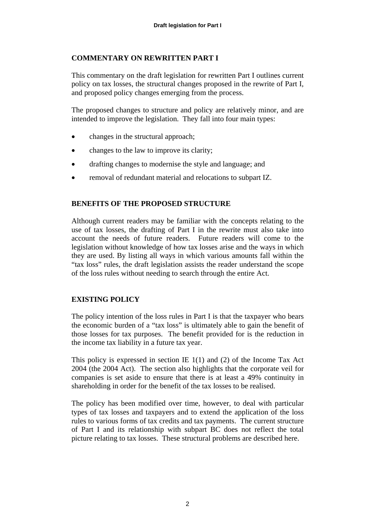# **COMMENTARY ON REWRITTEN PART I**

This commentary on the draft legislation for rewritten Part I outlines current policy on tax losses, the structural changes proposed in the rewrite of Part I, and proposed policy changes emerging from the process.

The proposed changes to structure and policy are relatively minor, and are intended to improve the legislation. They fall into four main types:

- changes in the structural approach;
- changes to the law to improve its clarity;
- drafting changes to modernise the style and language; and
- removal of redundant material and relocations to subpart IZ.

# **BENEFITS OF THE PROPOSED STRUCTURE**

Although current readers may be familiar with the concepts relating to the use of tax losses, the drafting of Part I in the rewrite must also take into account the needs of future readers. Future readers will come to the legislation without knowledge of how tax losses arise and the ways in which they are used. By listing all ways in which various amounts fall within the "tax loss" rules, the draft legislation assists the reader understand the scope of the loss rules without needing to search through the entire Act.

# **EXISTING POLICY**

The policy intention of the loss rules in Part I is that the taxpayer who bears the economic burden of a "tax loss" is ultimately able to gain the benefit of those losses for tax purposes. The benefit provided for is the reduction in the income tax liability in a future tax year.

This policy is expressed in section IE 1(1) and (2) of the Income Tax Act 2004 (the 2004 Act). The section also highlights that the corporate veil for companies is set aside to ensure that there is at least a 49% continuity in shareholding in order for the benefit of the tax losses to be realised.

The policy has been modified over time, however, to deal with particular types of tax losses and taxpayers and to extend the application of the loss rules to various forms of tax credits and tax payments. The current structure of Part I and its relationship with subpart BC does not reflect the total picture relating to tax losses. These structural problems are described here.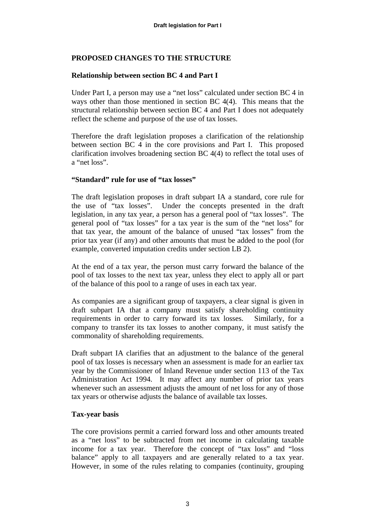# **PROPOSED CHANGES TO THE STRUCTURE**

# **Relationship between section BC 4 and Part I**

Under Part I, a person may use a "net loss" calculated under section BC 4 in ways other than those mentioned in section BC 4(4). This means that the structural relationship between section BC 4 and Part I does not adequately reflect the scheme and purpose of the use of tax losses.

Therefore the draft legislation proposes a clarification of the relationship between section BC 4 in the core provisions and Part I. This proposed clarification involves broadening section BC 4(4) to reflect the total uses of a "net loss".

#### **"Standard" rule for use of "tax losses"**

The draft legislation proposes in draft subpart IA a standard, core rule for the use of "tax losses". Under the concepts presented in the draft legislation, in any tax year, a person has a general pool of "tax losses". The general pool of "tax losses" for a tax year is the sum of the "net loss" for that tax year, the amount of the balance of unused "tax losses" from the prior tax year (if any) and other amounts that must be added to the pool (for example, converted imputation credits under section LB 2).

At the end of a tax year, the person must carry forward the balance of the pool of tax losses to the next tax year, unless they elect to apply all or part of the balance of this pool to a range of uses in each tax year.

As companies are a significant group of taxpayers, a clear signal is given in draft subpart IA that a company must satisfy shareholding continuity requirements in order to carry forward its tax losses. Similarly, for a company to transfer its tax losses to another company, it must satisfy the commonality of shareholding requirements.

Draft subpart IA clarifies that an adjustment to the balance of the general pool of tax losses is necessary when an assessment is made for an earlier tax year by the Commissioner of Inland Revenue under section 113 of the Tax Administration Act 1994. It may affect any number of prior tax years whenever such an assessment adjusts the amount of net loss for any of those tax years or otherwise adjusts the balance of available tax losses.

# **Tax-year basis**

The core provisions permit a carried forward loss and other amounts treated as a "net loss" to be subtracted from net income in calculating taxable income for a tax year. Therefore the concept of "tax loss" and "loss balance" apply to all taxpayers and are generally related to a tax year. However, in some of the rules relating to companies (continuity, grouping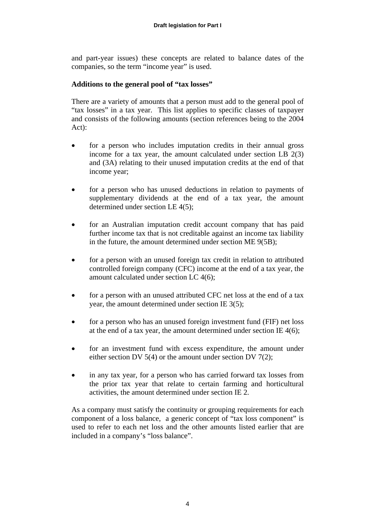and part-year issues) these concepts are related to balance dates of the companies, so the term "income year" is used.

# **Additions to the general pool of "tax losses"**

There are a variety of amounts that a person must add to the general pool of "tax losses" in a tax year. This list applies to specific classes of taxpayer and consists of the following amounts (section references being to the 2004 Act):

- for a person who includes imputation credits in their annual gross income for a tax year, the amount calculated under section LB 2(3) and (3A) relating to their unused imputation credits at the end of that income year;
- for a person who has unused deductions in relation to payments of supplementary dividends at the end of a tax year, the amount determined under section LE 4(5);
- for an Australian imputation credit account company that has paid further income tax that is not creditable against an income tax liability in the future, the amount determined under section ME 9(5B);
- for a person with an unused foreign tax credit in relation to attributed controlled foreign company (CFC) income at the end of a tax year, the amount calculated under section LC 4(6);
- for a person with an unused attributed CFC net loss at the end of a tax year, the amount determined under section IE 3(5);
- for a person who has an unused foreign investment fund (FIF) net loss at the end of a tax year, the amount determined under section IE 4(6);
- for an investment fund with excess expenditure, the amount under either section DV 5(4) or the amount under section DV 7(2);
- in any tax year, for a person who has carried forward tax losses from the prior tax year that relate to certain farming and horticultural activities, the amount determined under section IE 2.

As a company must satisfy the continuity or grouping requirements for each component of a loss balance, a generic concept of "tax loss component" is used to refer to each net loss and the other amounts listed earlier that are included in a company's "loss balance".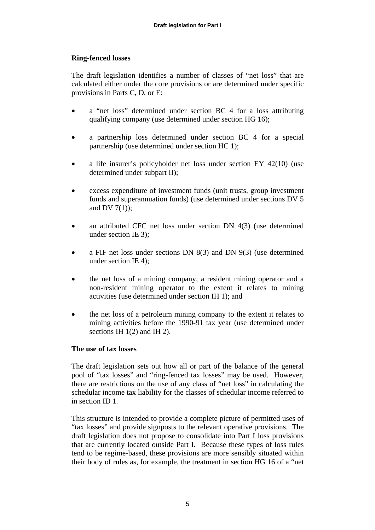# **Ring-fenced losses**

The draft legislation identifies a number of classes of "net loss" that are calculated either under the core provisions or are determined under specific provisions in Parts C, D, or E:

- a "net loss" determined under section BC 4 for a loss attributing qualifying company (use determined under section HG 16);
- a partnership loss determined under section BC 4 for a special partnership (use determined under section HC 1);
- a life insurer's policyholder net loss under section EY 42(10) (use determined under subpart II);
- excess expenditure of investment funds (unit trusts, group investment funds and superannuation funds) (use determined under sections DV 5 and DV  $7(1)$ ;
- an attributed CFC net loss under section DN 4(3) (use determined under section IE 3);
- a FIF net loss under sections DN 8(3) and DN 9(3) (use determined under section IE 4);
- the net loss of a mining company, a resident mining operator and a non-resident mining operator to the extent it relates to mining activities (use determined under section IH 1); and
- the net loss of a petroleum mining company to the extent it relates to mining activities before the 1990-91 tax year (use determined under sections IH 1(2) and IH 2).

#### **The use of tax losses**

The draft legislation sets out how all or part of the balance of the general pool of "tax losses" and "ring-fenced tax losses" may be used. However, there are restrictions on the use of any class of "net loss" in calculating the schedular income tax liability for the classes of schedular income referred to in section ID 1.

This structure is intended to provide a complete picture of permitted uses of "tax losses" and provide signposts to the relevant operative provisions. The draft legislation does not propose to consolidate into Part I loss provisions that are currently located outside Part I. Because these types of loss rules tend to be regime-based, these provisions are more sensibly situated within their body of rules as, for example, the treatment in section HG 16 of a "net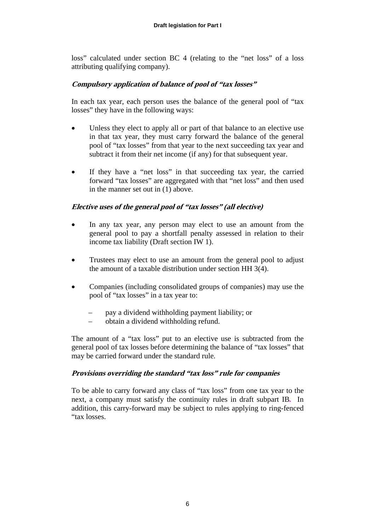loss" calculated under section BC 4 (relating to the "net loss" of a loss attributing qualifying company).

# **Compulsory application of balance of pool of "tax losses"**

In each tax year, each person uses the balance of the general pool of "tax losses" they have in the following ways:

- Unless they elect to apply all or part of that balance to an elective use in that tax year, they must carry forward the balance of the general pool of "tax losses" from that year to the next succeeding tax year and subtract it from their net income (if any) for that subsequent year.
- If they have a "net loss" in that succeeding tax year, the carried forward "tax losses" are aggregated with that "net loss" and then used in the manner set out in (1) above.

#### **Elective uses of the general pool of "tax losses" (all elective)**

- In any tax year, any person may elect to use an amount from the general pool to pay a shortfall penalty assessed in relation to their income tax liability (Draft section IW 1).
- Trustees may elect to use an amount from the general pool to adjust the amount of a taxable distribution under section HH 3(4).
- Companies (including consolidated groups of companies) may use the pool of "tax losses" in a tax year to:
	- pay a dividend withholding payment liability; or
	- obtain a dividend withholding refund.

The amount of a "tax loss" put to an elective use is subtracted from the general pool of tax losses before determining the balance of "tax losses" that may be carried forward under the standard rule.

#### **Provisions overriding the standard "tax loss" rule for companies**

To be able to carry forward any class of "tax loss" from one tax year to the next, a company must satisfy the continuity rules in draft subpart IB*.* In addition, this carry-forward may be subject to rules applying to ring-fenced "tax losses.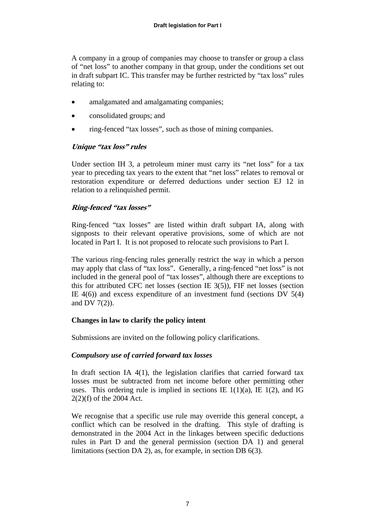A company in a group of companies may choose to transfer or group a class of "net loss" to another company in that group, under the conditions set out in draft subpart IC. This transfer may be further restricted by "tax loss" rules relating to:

- amalgamated and amalgamating companies:
- consolidated groups; and
- ring-fenced "tax losses", such as those of mining companies.

# **Unique "tax loss" rules**

Under section IH 3, a petroleum miner must carry its "net loss" for a tax year to preceding tax years to the extent that "net loss" relates to removal or restoration expenditure or deferred deductions under section EJ 12 in relation to a relinquished permit.

# **Ring-fenced "tax losses"**

Ring-fenced "tax losses" are listed within draft subpart IA, along with signposts to their relevant operative provisions, some of which are not located in Part I. It is not proposed to relocate such provisions to Part I.

The various ring-fencing rules generally restrict the way in which a person may apply that class of "tax loss". Generally, a ring-fenced "net loss" is not included in the general pool of "tax losses", although there are exceptions to this for attributed CFC net losses (section IE 3(5)), FIF net losses (section IE  $4(6)$ ) and excess expenditure of an investment fund (sections DV  $5(4)$ ) and DV 7(2)).

# **Changes in law to clarify the policy intent**

Submissions are invited on the following policy clarifications.

# *Compulsory use of carried forward tax losses*

In draft section IA 4(1), the legislation clarifies that carried forward tax losses must be subtracted from net income before other permitting other uses. This ordering rule is implied in sections IE  $1(1)(a)$ , IE  $1(2)$ , and IG 2(2)(f) of the 2004 Act.

We recognise that a specific use rule may override this general concept, a conflict which can be resolved in the drafting. This style of drafting is demonstrated in the 2004 Act in the linkages between specific deductions rules in Part D and the general permission (section DA 1) and general limitations (section DA 2), as, for example, in section DB 6(3).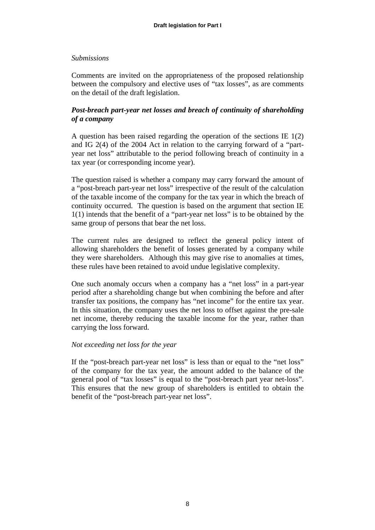## *Submissions*

Comments are invited on the appropriateness of the proposed relationship between the compulsory and elective uses of "tax losses", as are comments on the detail of the draft legislation.

# *Post-breach part-year net losses and breach of continuity of shareholding of a company*

A question has been raised regarding the operation of the sections IE 1(2) and IG 2(4) of the 2004 Act in relation to the carrying forward of a "partyear net loss" attributable to the period following breach of continuity in a tax year (or corresponding income year).

The question raised is whether a company may carry forward the amount of a "post-breach part-year net loss" irrespective of the result of the calculation of the taxable income of the company for the tax year in which the breach of continuity occurred. The question is based on the argument that section IE 1(1) intends that the benefit of a "part-year net loss" is to be obtained by the same group of persons that bear the net loss.

The current rules are designed to reflect the general policy intent of allowing shareholders the benefit of losses generated by a company while they were shareholders. Although this may give rise to anomalies at times, these rules have been retained to avoid undue legislative complexity.

One such anomaly occurs when a company has a "net loss" in a part-year period after a shareholding change but when combining the before and after transfer tax positions, the company has "net income" for the entire tax year. In this situation, the company uses the net loss to offset against the pre-sale net income, thereby reducing the taxable income for the year, rather than carrying the loss forward.

#### *Not exceeding net loss for the year*

If the "post-breach part-year net loss" is less than or equal to the "net loss" of the company for the tax year, the amount added to the balance of the general pool of "tax losses" is equal to the "post-breach part year net-loss". This ensures that the new group of shareholders is entitled to obtain the benefit of the "post-breach part-year net loss".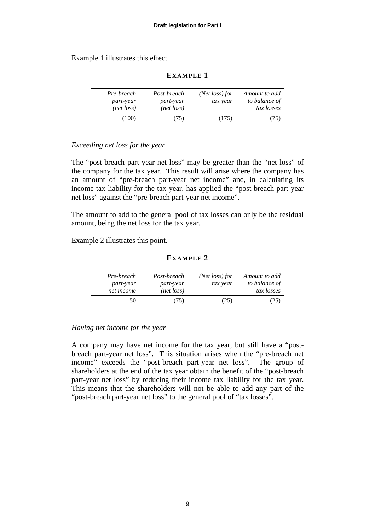Example 1 illustrates this effect.

| Pre-breach<br><i>part-year</i><br>(net loss) | Post-breach<br>part-year<br>(net loss) | (Net loss) for<br>tax year | Amount to add<br>to balance of<br>tax losses |
|----------------------------------------------|----------------------------------------|----------------------------|----------------------------------------------|
| (100)                                        | (75)                                   | (175)                      | (75)                                         |

#### **EXAMPLE 1**

#### *Exceeding net loss for the year*

The "post-breach part-year net loss" may be greater than the "net loss" of the company for the tax year. This result will arise where the company has an amount of "pre-breach part-year net income" and, in calculating its income tax liability for the tax year, has applied the "post-breach part-year net loss" against the "pre-breach part-year net income".

The amount to add to the general pool of tax losses can only be the residual amount, being the net loss for the tax year.

Example 2 illustrates this point.

#### **EXAMPLE 2**

| Pre-breach       | Post-breach |      | Amount to add |
|------------------|-------------|------|---------------|
| <i>part-year</i> | part-year   |      | to balance of |
| net income       | (net loss)  |      | tax losses    |
| 50               | (75)        | (25) |               |

#### *Having net income for the year*

A company may have net income for the tax year, but still have a "postbreach part-year net loss". This situation arises when the "pre-breach net income" exceeds the "post-breach part-year net loss". The group of shareholders at the end of the tax year obtain the benefit of the "post-breach part-year net loss" by reducing their income tax liability for the tax year. This means that the shareholders will not be able to add any part of the "post-breach part-year net loss" to the general pool of "tax losses".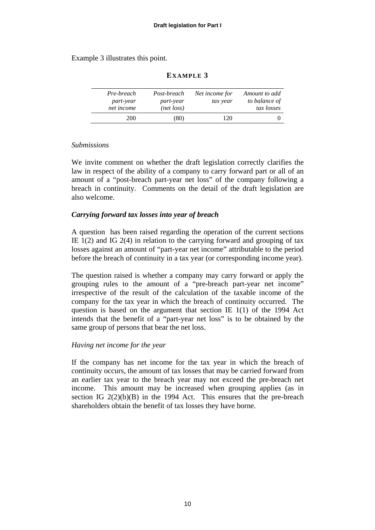#### Example 3 illustrates this point.

| Pre-breach<br><i>part-year</i><br>net income | Post-breach<br>part-year<br>(net loss) | Net income for<br>tax year | Amount to add<br>to balance of<br>tax losses |
|----------------------------------------------|----------------------------------------|----------------------------|----------------------------------------------|
| 200                                          | (80)                                   | 120                        |                                              |

#### **EXAMPLE 3**

#### *Submissions*

We invite comment on whether the draft legislation correctly clarifies the law in respect of the ability of a company to carry forward part or all of an amount of a "post-breach part-year net loss" of the company following a breach in continuity. Comments on the detail of the draft legislation are also welcome.

#### *Carrying forward tax losses into year of breach*

A question has been raised regarding the operation of the current sections IE  $1(2)$  and IG  $2(4)$  in relation to the carrying forward and grouping of tax losses against an amount of "part-year net income" attributable to the period before the breach of continuity in a tax year (or corresponding income year).

The question raised is whether a company may carry forward or apply the grouping rules to the amount of a "pre-breach part-year net income" irrespective of the result of the calculation of the taxable income of the company for the tax year in which the breach of continuity occurred. The question is based on the argument that section IE 1(1) of the 1994 Act intends that the benefit of a "part-year net loss" is to be obtained by the same group of persons that bear the net loss.

#### *Having net income for the year*

If the company has net income for the tax year in which the breach of continuity occurs, the amount of tax losses that may be carried forward from an earlier tax year to the breach year may not exceed the pre-breach net income. This amount may be increased when grouping applies (as in section IG  $2(2)(b)(B)$  in the 1994 Act. This ensures that the pre-breach shareholders obtain the benefit of tax losses they have borne.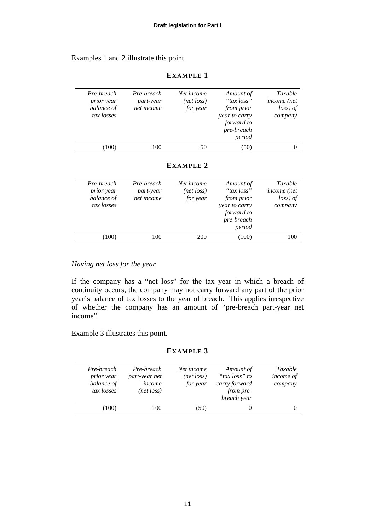Examples 1 and 2 illustrate this point.

| Taxable<br>income (net<br>loss) of<br>company | Amount of<br>"tax loss"<br>from prior<br>year to carry<br>forward to<br>pre-breach<br>period | Net income<br>(net loss)<br>for year | Pre-breach<br>part-year<br>net income | Pre-breach<br><i>prior</i> year<br>balance of<br>tax losses |
|-----------------------------------------------|----------------------------------------------------------------------------------------------|--------------------------------------|---------------------------------------|-------------------------------------------------------------|
| $\theta$                                      | (50)                                                                                         | 50                                   | 100                                   | (100)                                                       |
|                                               |                                                                                              | EXAMPLE 2                            |                                       |                                                             |
| Taxable<br>income (net<br>loss) of            | Amount of<br>"tax loss"<br>from prior                                                        | Net income<br>(net loss)<br>for year | Pre-breach<br>part-year<br>net income | Pre-breach<br>prior year<br>balance of                      |

*year to carry forward to pre-breach period* 

*company* 

#### **EXAMPLE 1**

# *Having net loss for the year*

*tax losses* 

If the company has a "net loss" for the tax year in which a breach of continuity occurs, the company may not carry forward any part of the prior year's balance of tax losses to the year of breach. This applies irrespective of whether the company has an amount of "pre-breach part-year net income".

(100) 100 200 (100) 100

Example 3 illustrates this point.

#### **EXAMPLE 3**

| Pre-breach<br>prior year<br>balance of<br>tax losses | Pre-breach<br>part-year net<br>income<br>(net loss) | Net income<br>(net loss)<br>for year | Amount of<br>"tax loss" to<br>carry forward<br>from pre-<br>breach year | Taxable<br><i>income of</i><br>company |
|------------------------------------------------------|-----------------------------------------------------|--------------------------------------|-------------------------------------------------------------------------|----------------------------------------|
| (100)                                                | 100                                                 | [50)                                 |                                                                         |                                        |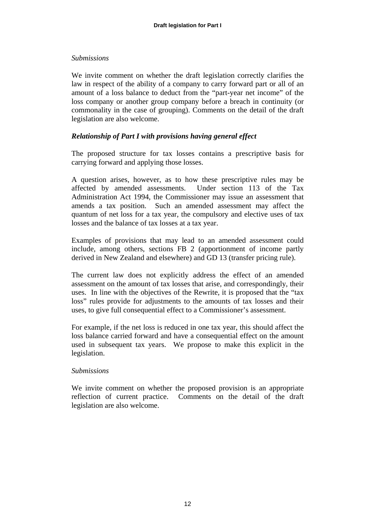#### *Submissions*

We invite comment on whether the draft legislation correctly clarifies the law in respect of the ability of a company to carry forward part or all of an amount of a loss balance to deduct from the "part-year net income" of the loss company or another group company before a breach in continuity (or commonality in the case of grouping). Comments on the detail of the draft legislation are also welcome.

#### *Relationship of Part I with provisions having general effect*

The proposed structure for tax losses contains a prescriptive basis for carrying forward and applying those losses.

A question arises, however, as to how these prescriptive rules may be affected by amended assessments. Under section 113 of the Tax Administration Act 1994, the Commissioner may issue an assessment that amends a tax position. Such an amended assessment may affect the quantum of net loss for a tax year, the compulsory and elective uses of tax losses and the balance of tax losses at a tax year.

Examples of provisions that may lead to an amended assessment could include, among others, sections FB 2 (apportionment of income partly derived in New Zealand and elsewhere) and GD 13 (transfer pricing rule).

The current law does not explicitly address the effect of an amended assessment on the amount of tax losses that arise, and correspondingly, their uses. In line with the objectives of the Rewrite, it is proposed that the "tax loss" rules provide for adjustments to the amounts of tax losses and their uses, to give full consequential effect to a Commissioner's assessment.

For example, if the net loss is reduced in one tax year, this should affect the loss balance carried forward and have a consequential effect on the amount used in subsequent tax years. We propose to make this explicit in the legislation.

#### *Submissions*

We invite comment on whether the proposed provision is an appropriate reflection of current practice. Comments on the detail of the draft legislation are also welcome.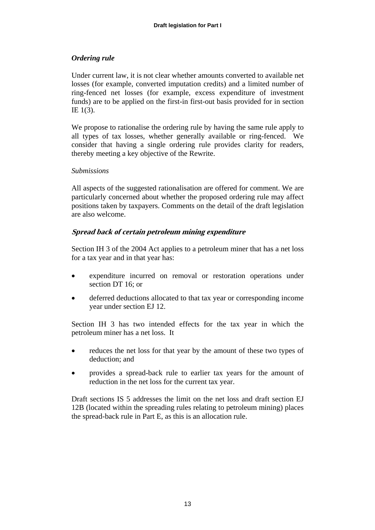# *Ordering rule*

Under current law, it is not clear whether amounts converted to available net losses (for example, converted imputation credits) and a limited number of ring-fenced net losses (for example, excess expenditure of investment funds) are to be applied on the first-in first-out basis provided for in section IE 1(3).

We propose to rationalise the ordering rule by having the same rule apply to all types of tax losses, whether generally available or ring-fenced. We consider that having a single ordering rule provides clarity for readers, thereby meeting a key objective of the Rewrite.

#### *Submissions*

All aspects of the suggested rationalisation are offered for comment. We are particularly concerned about whether the proposed ordering rule may affect positions taken by taxpayers. Comments on the detail of the draft legislation are also welcome.

#### **Spread back of certain petroleum mining expenditure**

Section IH 3 of the 2004 Act applies to a petroleum miner that has a net loss for a tax year and in that year has:

- expenditure incurred on removal or restoration operations under section DT 16; or
- deferred deductions allocated to that tax year or corresponding income year under section EJ 12.

Section IH 3 has two intended effects for the tax year in which the petroleum miner has a net loss. It

- reduces the net loss for that year by the amount of these two types of deduction; and
- provides a spread-back rule to earlier tax years for the amount of reduction in the net loss for the current tax year.

Draft sections IS 5 addresses the limit on the net loss and draft section EJ 12B (located within the spreading rules relating to petroleum mining) places the spread-back rule in Part E, as this is an allocation rule.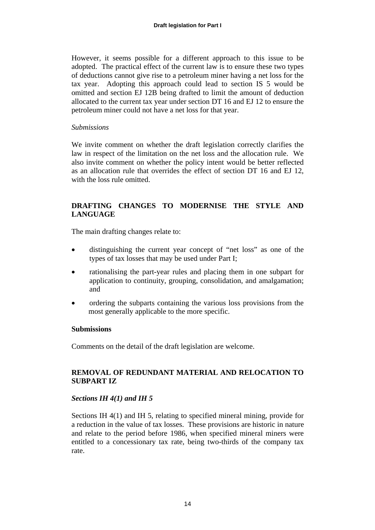However, it seems possible for a different approach to this issue to be adopted. The practical effect of the current law is to ensure these two types of deductions cannot give rise to a petroleum miner having a net loss for the tax year. Adopting this approach could lead to section IS 5 would be omitted and section EJ 12B being drafted to limit the amount of deduction allocated to the current tax year under section DT 16 and EJ 12 to ensure the petroleum miner could not have a net loss for that year.

#### *Submissions*

We invite comment on whether the draft legislation correctly clarifies the law in respect of the limitation on the net loss and the allocation rule. We also invite comment on whether the policy intent would be better reflected as an allocation rule that overrides the effect of section DT 16 and EJ 12, with the loss rule omitted.

# **DRAFTING CHANGES TO MODERNISE THE STYLE AND LANGUAGE**

The main drafting changes relate to:

- distinguishing the current year concept of "net loss" as one of the types of tax losses that may be used under Part I;
- rationalising the part-year rules and placing them in one subpart for application to continuity, grouping, consolidation, and amalgamation; and
- ordering the subparts containing the various loss provisions from the most generally applicable to the more specific.

# **Submissions**

Comments on the detail of the draft legislation are welcome.

# **REMOVAL OF REDUNDANT MATERIAL AND RELOCATION TO SUBPART IZ**

# *Sections IH 4(1) and IH 5*

Sections IH 4(1) and IH 5, relating to specified mineral mining, provide for a reduction in the value of tax losses. These provisions are historic in nature and relate to the period before 1986, when specified mineral miners were entitled to a concessionary tax rate, being two-thirds of the company tax rate.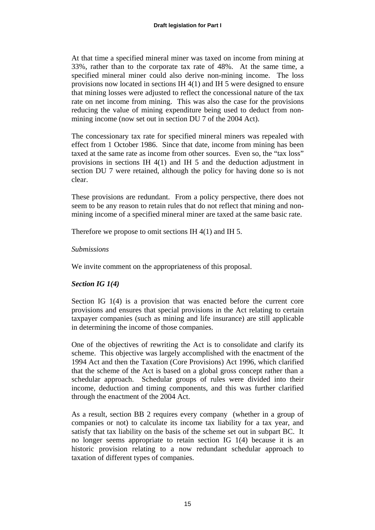At that time a specified mineral miner was taxed on income from mining at 33%, rather than to the corporate tax rate of 48%. At the same time, a specified mineral miner could also derive non-mining income. The loss provisions now located in sections IH 4(1) and IH 5 were designed to ensure that mining losses were adjusted to reflect the concessional nature of the tax rate on net income from mining. This was also the case for the provisions reducing the value of mining expenditure being used to deduct from nonmining income (now set out in section DU 7 of the 2004 Act).

The concessionary tax rate for specified mineral miners was repealed with effect from 1 October 1986. Since that date, income from mining has been taxed at the same rate as income from other sources. Even so, the "tax loss" provisions in sections IH 4(1) and IH 5 and the deduction adjustment in section DU 7 were retained, although the policy for having done so is not clear.

These provisions are redundant. From a policy perspective, there does not seem to be any reason to retain rules that do not reflect that mining and nonmining income of a specified mineral miner are taxed at the same basic rate.

Therefore we propose to omit sections IH 4(1) and IH 5.

#### *Submissions*

We invite comment on the appropriateness of this proposal.

# *Section IG 1(4)*

Section IG 1(4) is a provision that was enacted before the current core provisions and ensures that special provisions in the Act relating to certain taxpayer companies (such as mining and life insurance) are still applicable in determining the income of those companies.

One of the objectives of rewriting the Act is to consolidate and clarify its scheme. This objective was largely accomplished with the enactment of the 1994 Act and then the Taxation (Core Provisions) Act 1996, which clarified that the scheme of the Act is based on a global gross concept rather than a schedular approach. Schedular groups of rules were divided into their income, deduction and timing components, and this was further clarified through the enactment of the 2004 Act.

As a result, section BB 2 requires every company (whether in a group of companies or not) to calculate its income tax liability for a tax year, and satisfy that tax liability on the basis of the scheme set out in subpart BC. It no longer seems appropriate to retain section IG 1(4) because it is an historic provision relating to a now redundant schedular approach to taxation of different types of companies.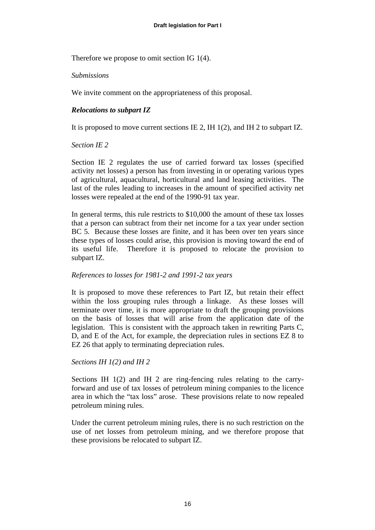Therefore we propose to omit section IG 1(4).

# *Submissions*

We invite comment on the appropriateness of this proposal.

# *Relocations to subpart IZ*

It is proposed to move current sections IE 2, IH 1(2), and IH 2 to subpart IZ.

# *Section IE 2*

Section IE 2 regulates the use of carried forward tax losses (specified activity net losses) a person has from investing in or operating various types of agricultural, aquacultural, horticultural and land leasing activities. The last of the rules leading to increases in the amount of specified activity net losses were repealed at the end of the 1990-91 tax year.

In general terms, this rule restricts to \$10,000 the amount of these tax losses that a person can subtract from their net income for a tax year under section BC 5. Because these losses are finite, and it has been over ten years since these types of losses could arise, this provision is moving toward the end of its useful life. Therefore it is proposed to relocate the provision to subpart IZ.

# *References to losses for 1981-2 and 1991-2 tax years*

It is proposed to move these references to Part IZ, but retain their effect within the loss grouping rules through a linkage. As these losses will terminate over time, it is more appropriate to draft the grouping provisions on the basis of losses that will arise from the application date of the legislation. This is consistent with the approach taken in rewriting Parts C, D, and E of the Act, for example, the depreciation rules in sections EZ 8 to EZ 26 that apply to terminating depreciation rules.

# *Sections IH 1(2) and IH 2*

Sections IH 1(2) and IH 2 are ring-fencing rules relating to the carryforward and use of tax losses of petroleum mining companies to the licence area in which the "tax loss" arose. These provisions relate to now repealed petroleum mining rules.

Under the current petroleum mining rules, there is no such restriction on the use of net losses from petroleum mining, and we therefore propose that these provisions be relocated to subpart IZ.